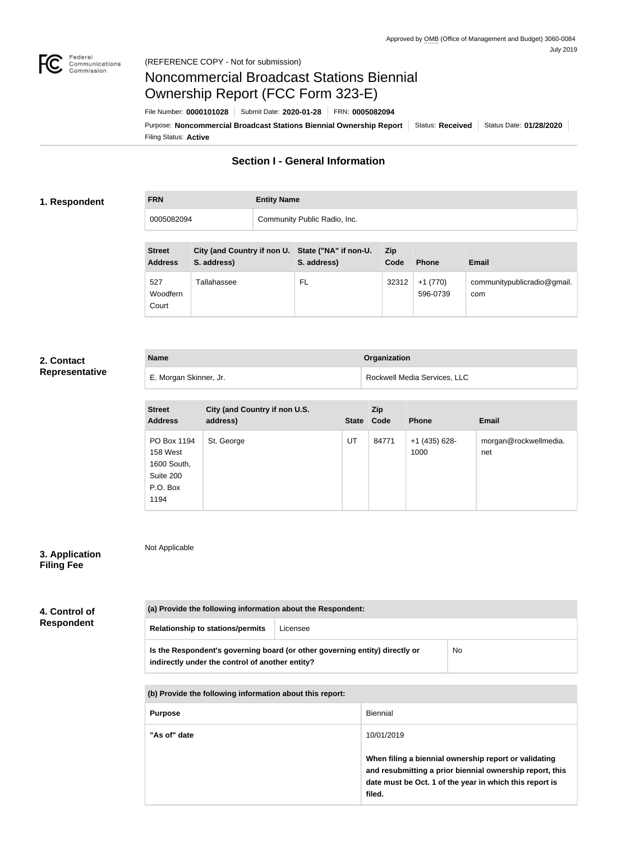

# Noncommercial Broadcast Stations Biennial Ownership Report (FCC Form 323-E)

Filing Status: **Active** Purpose: Noncommercial Broadcast Stations Biennial Ownership Report Status: Received Status Date: 01/28/2020 File Number: **0000101028** Submit Date: **2020-01-28** FRN: **0005082094**

# **Section I - General Information**

#### **1. Respondent**

**FRN Entity Name** 0005082094 Community Public Radio, Inc.

| <b>Street</b><br><b>Address</b> | City (and Country if non U. State ("NA" if non-U.<br>S. address) | S. address) | Zip<br>Code | <b>Phone</b>          | <b>Email</b>                       |
|---------------------------------|------------------------------------------------------------------|-------------|-------------|-----------------------|------------------------------------|
| 527<br>Woodfern<br>Court        | <b>Tallahassee</b>                                               | FL          | 32312       | $+1(770)$<br>596-0739 | communitypublicradio@gmail.<br>com |

#### **2. Contact Representative**

| <b>Name</b>            | Organization                 |
|------------------------|------------------------------|
| E. Morgan Skinner, Jr. | Rockwell Media Services, LLC |

| <b>Street</b><br><b>Address</b>                                         | City (and Country if non U.S.<br>address) |    | Zip<br>State Code | <b>Phone</b>            | <b>Email</b>                 |
|-------------------------------------------------------------------------|-------------------------------------------|----|-------------------|-------------------------|------------------------------|
| PO Box 1194<br>158 West<br>1600 South,<br>Suite 200<br>P.O. Box<br>1194 | St. George                                | UT | 84771             | $+1$ (435) 628-<br>1000 | morgan@rockwellmedia.<br>net |

## **3. Application Filing Fee**

Not Applicable

| 4. Control of     |  |
|-------------------|--|
| <b>Respondent</b> |  |

**(a) Provide the following information about the Respondent: Relationship to stations/permits** Licensee **Is the Respondent's governing board (or other governing entity) directly or indirectly under the control of another entity?** No

**(b) Provide the following information about this report:**

| <b>Purpose</b> | <b>Biennial</b>                                                                                                                                                                        |
|----------------|----------------------------------------------------------------------------------------------------------------------------------------------------------------------------------------|
| "As of" date   | 10/01/2019                                                                                                                                                                             |
|                | When filing a biennial ownership report or validating<br>and resubmitting a prior biennial ownership report, this<br>date must be Oct. 1 of the year in which this report is<br>filed. |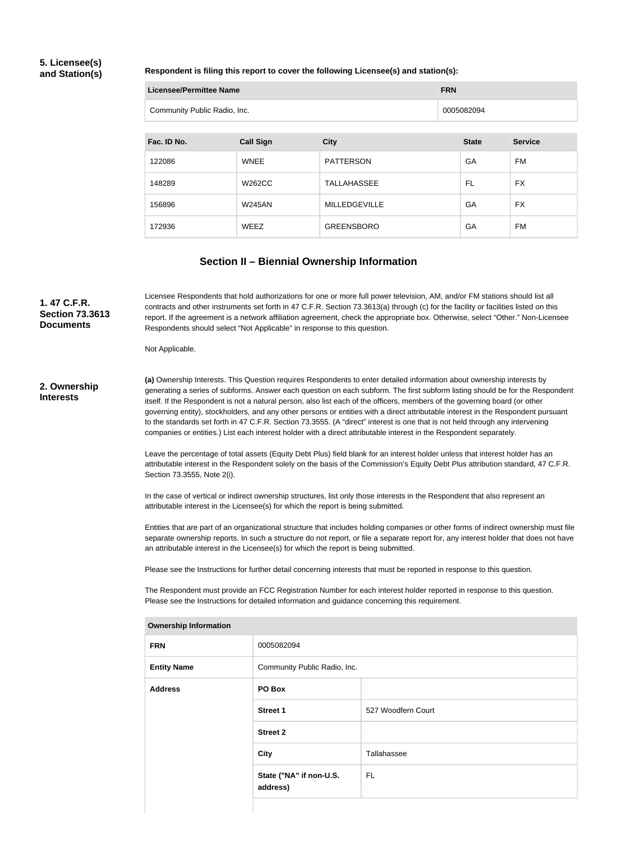#### **5. Licensee(s) and Station(s)**

**Respondent is filing this report to cover the following Licensee(s) and station(s):**

| Licensee/Permittee Name      |                  |                      |  |              |                |
|------------------------------|------------------|----------------------|--|--------------|----------------|
| Community Public Radio, Inc. |                  |                      |  | 0005082094   |                |
|                              |                  |                      |  |              |                |
| Fac. ID No.                  | <b>Call Sign</b> | <b>City</b>          |  | <b>State</b> | <b>Service</b> |
| 122086                       | <b>WNEE</b>      | <b>PATTERSON</b>     |  | GA           | FM             |
| 148289                       | W262CC           | <b>TALLAHASSEE</b>   |  | FL           | <b>FX</b>      |
| 156896                       | <b>W245AN</b>    | <b>MILLEDGEVILLE</b> |  | GA           | <b>FX</b>      |
|                              |                  |                      |  |              |                |

## **Section II – Biennial Ownership Information**

Licensee Respondents that hold authorizations for one or more full power television, AM, and/or FM stations should list all contracts and other instruments set forth in 47 C.F.R. Section 73.3613(a) through (c) for the facility or facilities listed on this report. If the agreement is a network affiliation agreement, check the appropriate box. Otherwise, select "Other." Non-Licensee Respondents should select "Not Applicable" in response to this question.

172936 WEEZ GREENSBORO GA FM

Not Applicable.

**2. Ownership Interests**

**1. 47 C.F.R. Section 73.3613 Documents**

> **(a)** Ownership Interests. This Question requires Respondents to enter detailed information about ownership interests by generating a series of subforms. Answer each question on each subform. The first subform listing should be for the Respondent itself. If the Respondent is not a natural person, also list each of the officers, members of the governing board (or other governing entity), stockholders, and any other persons or entities with a direct attributable interest in the Respondent pursuant to the standards set forth in 47 C.F.R. Section 73.3555. (A "direct" interest is one that is not held through any intervening companies or entities.) List each interest holder with a direct attributable interest in the Respondent separately.

> Leave the percentage of total assets (Equity Debt Plus) field blank for an interest holder unless that interest holder has an attributable interest in the Respondent solely on the basis of the Commission's Equity Debt Plus attribution standard, 47 C.F.R. Section 73.3555, Note 2(i).

In the case of vertical or indirect ownership structures, list only those interests in the Respondent that also represent an attributable interest in the Licensee(s) for which the report is being submitted.

Entities that are part of an organizational structure that includes holding companies or other forms of indirect ownership must file separate ownership reports. In such a structure do not report, or file a separate report for, any interest holder that does not have an attributable interest in the Licensee(s) for which the report is being submitted.

Please see the Instructions for further detail concerning interests that must be reported in response to this question.

The Respondent must provide an FCC Registration Number for each interest holder reported in response to this question. Please see the Instructions for detailed information and guidance concerning this requirement.

| <b>FRN</b>         | 0005082094                          |                    |  |
|--------------------|-------------------------------------|--------------------|--|
| <b>Entity Name</b> | Community Public Radio, Inc.        |                    |  |
| <b>Address</b>     | PO Box                              |                    |  |
|                    | <b>Street 1</b>                     | 527 Woodfern Court |  |
|                    | <b>Street 2</b>                     |                    |  |
|                    | <b>City</b>                         | Tallahassee        |  |
|                    | State ("NA" if non-U.S.<br>address) | <b>FL</b>          |  |
|                    |                                     |                    |  |

**Ownership Information**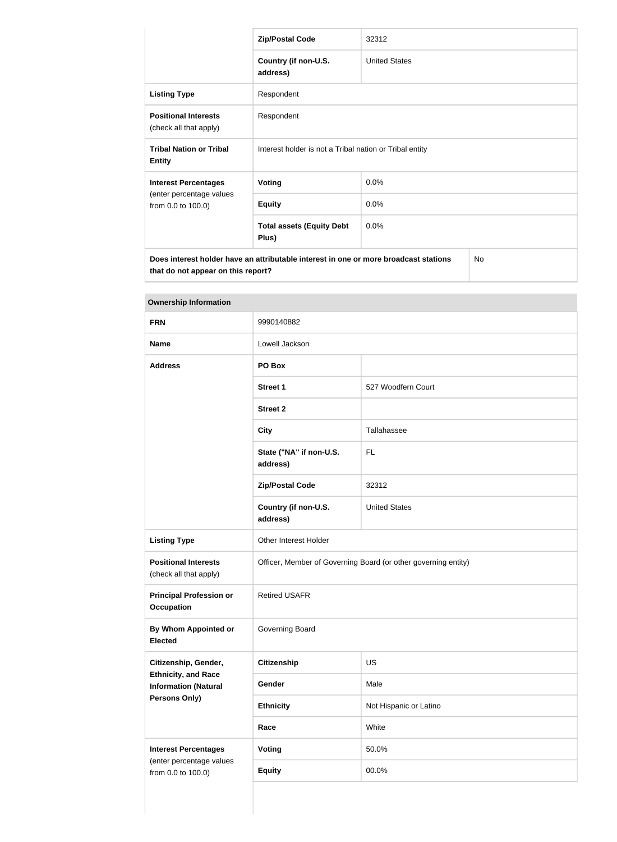|                                                                                                                                         | <b>Zip/Postal Code</b>                                  | 32312                |  |
|-----------------------------------------------------------------------------------------------------------------------------------------|---------------------------------------------------------|----------------------|--|
|                                                                                                                                         | Country (if non-U.S.<br>address)                        | <b>United States</b> |  |
| <b>Listing Type</b>                                                                                                                     | Respondent                                              |                      |  |
| <b>Positional Interests</b><br>(check all that apply)                                                                                   | Respondent                                              |                      |  |
| <b>Tribal Nation or Tribal</b><br><b>Entity</b>                                                                                         | Interest holder is not a Tribal nation or Tribal entity |                      |  |
| <b>Interest Percentages</b>                                                                                                             | <b>Voting</b>                                           | 0.0%                 |  |
| (enter percentage values<br>from 0.0 to 100.0)                                                                                          | <b>Equity</b>                                           | 0.0%                 |  |
|                                                                                                                                         | <b>Total assets (Equity Debt</b><br>Plus)               | 0.0%                 |  |
| Does interest holder have an attributable interest in one or more broadcast stations<br><b>No</b><br>that do not appear on this report? |                                                         |                      |  |

# **FRN** 9990140882 **Name** Lowell Jackson **Address PO Box Street 1** 527 Woodfern Court **Street 2 City City Tallahassee State ("NA" if non-U.S. address)** FL **Zip/Postal Code** 32312 **Country (if non-U.S. address)** United States Listing Type **Communist Communist Communist Communist Communist Communist Communist Communist Communist Communist Communist Communist Communist Communist Communist Communist Communist Communist Communist Communist Communis Positional Interests** (check all that apply) Officer, Member of Governing Board (or other governing entity) **Principal Profession or Occupation** Retired USAFR **By Whom Appointed or Elected** Governing Board **Citizenship, Gender, Ethnicity, and Race Information (Natural Persons Only) Citizenship** US Gender Male **Ethnicity** Not Hispanic or Latino

**Race** White

**Voting** 50.0%

**Equity** 00.0%

**Interest Percentages** (enter percentage values

from 0.0 to 100.0)

**Ownership Information**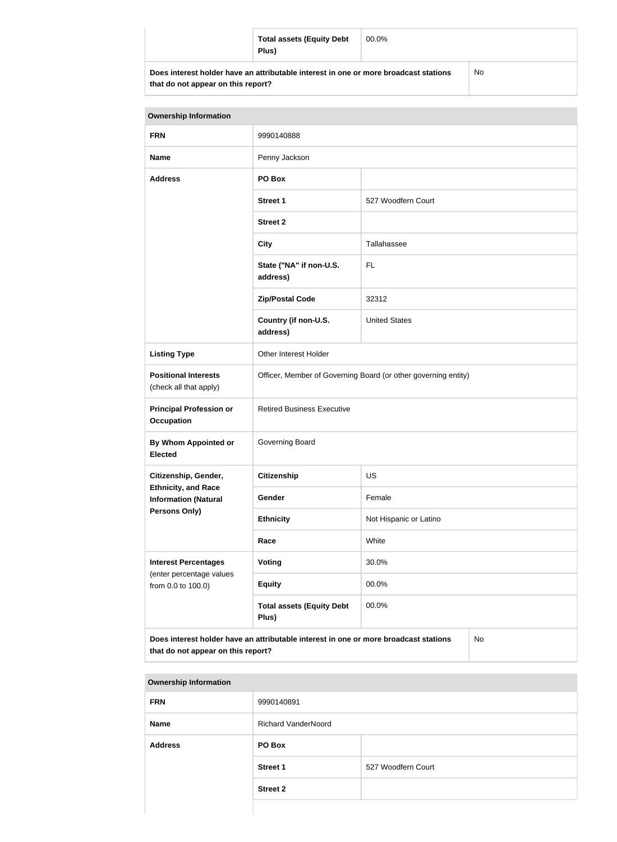| <b>Total assets (Equity Debt</b><br>Plus)                                            | 00.0% |           |
|--------------------------------------------------------------------------------------|-------|-----------|
| Does interest holder have an attributable interest in one or more broadcast stations |       | <b>No</b> |

**that do not appear on this report?**

No

| <b>Ownership Information</b>                                                                                                            |                                                                |                        |  |  |
|-----------------------------------------------------------------------------------------------------------------------------------------|----------------------------------------------------------------|------------------------|--|--|
| <b>FRN</b>                                                                                                                              | 9990140888                                                     |                        |  |  |
| <b>Name</b>                                                                                                                             | Penny Jackson                                                  |                        |  |  |
| <b>Address</b>                                                                                                                          | PO Box                                                         |                        |  |  |
|                                                                                                                                         | <b>Street 1</b>                                                | 527 Woodfern Court     |  |  |
|                                                                                                                                         | <b>Street 2</b>                                                |                        |  |  |
|                                                                                                                                         | <b>City</b>                                                    | Tallahassee            |  |  |
|                                                                                                                                         | State ("NA" if non-U.S.<br>address)                            | FL                     |  |  |
|                                                                                                                                         | <b>Zip/Postal Code</b>                                         | 32312                  |  |  |
|                                                                                                                                         | Country (if non-U.S.<br>address)                               | <b>United States</b>   |  |  |
| <b>Listing Type</b>                                                                                                                     | Other Interest Holder                                          |                        |  |  |
| <b>Positional Interests</b><br>(check all that apply)                                                                                   | Officer, Member of Governing Board (or other governing entity) |                        |  |  |
| <b>Principal Profession or</b><br><b>Occupation</b>                                                                                     | <b>Retired Business Executive</b>                              |                        |  |  |
| <b>By Whom Appointed or</b><br><b>Elected</b>                                                                                           | Governing Board                                                |                        |  |  |
| Citizenship, Gender,                                                                                                                    | <b>Citizenship</b>                                             | <b>US</b>              |  |  |
| <b>Ethnicity, and Race</b><br><b>Information (Natural</b>                                                                               | Gender                                                         | Female                 |  |  |
| Persons Only)                                                                                                                           | <b>Ethnicity</b>                                               | Not Hispanic or Latino |  |  |
|                                                                                                                                         | Race                                                           | White                  |  |  |
| <b>Interest Percentages</b><br>(enter percentage values                                                                                 | Voting                                                         | 30.0%                  |  |  |
| from 0.0 to 100.0)                                                                                                                      | <b>Equity</b>                                                  | 00.0%                  |  |  |
|                                                                                                                                         | <b>Total assets (Equity Debt</b><br>Plus)                      | 00.0%                  |  |  |
| Does interest holder have an attributable interest in one or more broadcast stations<br><b>No</b><br>that do not appear on this report? |                                                                |                        |  |  |

| <b>Ownership Information</b> |                            |                    |  |  |
|------------------------------|----------------------------|--------------------|--|--|
| <b>FRN</b>                   | 9990140891                 |                    |  |  |
| <b>Name</b>                  | <b>Richard VanderNoord</b> |                    |  |  |
| <b>Address</b>               | PO Box                     |                    |  |  |
|                              | <b>Street 1</b>            | 527 Woodfern Court |  |  |
|                              | <b>Street 2</b>            |                    |  |  |
|                              |                            |                    |  |  |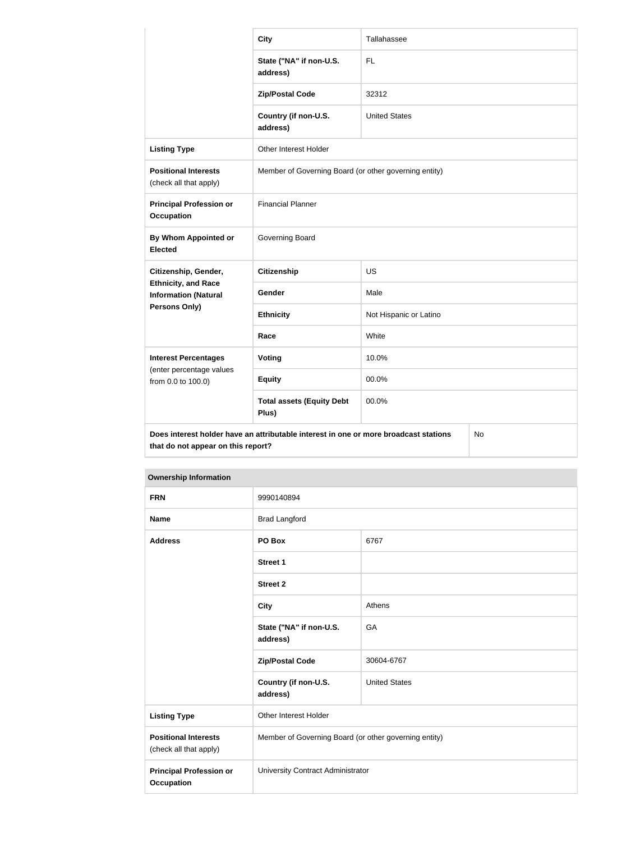|                                                           | <b>City</b>                                                                          | Tallahassee            |    |
|-----------------------------------------------------------|--------------------------------------------------------------------------------------|------------------------|----|
|                                                           | State ("NA" if non-U.S.<br>address)                                                  | <b>FL</b>              |    |
|                                                           | <b>Zip/Postal Code</b>                                                               | 32312                  |    |
|                                                           | Country (if non-U.S.<br>address)                                                     | <b>United States</b>   |    |
| <b>Listing Type</b>                                       | Other Interest Holder                                                                |                        |    |
| <b>Positional Interests</b><br>(check all that apply)     | Member of Governing Board (or other governing entity)                                |                        |    |
| <b>Principal Profession or</b><br><b>Occupation</b>       | <b>Financial Planner</b>                                                             |                        |    |
| By Whom Appointed or<br><b>Elected</b>                    | Governing Board                                                                      |                        |    |
| Citizenship, Gender,                                      | <b>Citizenship</b>                                                                   | <b>US</b>              |    |
| <b>Ethnicity, and Race</b><br><b>Information (Natural</b> | Gender                                                                               | Male                   |    |
| Persons Only)                                             | <b>Ethnicity</b>                                                                     | Not Hispanic or Latino |    |
|                                                           | Race                                                                                 | White                  |    |
| <b>Interest Percentages</b>                               | <b>Voting</b>                                                                        | 10.0%                  |    |
| (enter percentage values<br>from 0.0 to 100.0)            | <b>Equity</b>                                                                        | 00.0%                  |    |
|                                                           | <b>Total assets (Equity Debt</b><br>Plus)                                            | 00.0%                  |    |
| that do not appear on this report?                        | Does interest holder have an attributable interest in one or more broadcast stations |                        | No |

| <b>Ownership Information</b>                          |                                                       |                      |  |  |
|-------------------------------------------------------|-------------------------------------------------------|----------------------|--|--|
| <b>FRN</b>                                            | 9990140894                                            |                      |  |  |
| <b>Name</b>                                           | <b>Brad Langford</b>                                  |                      |  |  |
| <b>Address</b>                                        | PO Box                                                | 6767                 |  |  |
|                                                       | <b>Street 1</b>                                       |                      |  |  |
|                                                       | <b>Street 2</b>                                       |                      |  |  |
|                                                       | <b>City</b>                                           | Athens               |  |  |
|                                                       | State ("NA" if non-U.S.<br>address)                   | GA                   |  |  |
|                                                       | <b>Zip/Postal Code</b>                                | 30604-6767           |  |  |
|                                                       | Country (if non-U.S.<br>address)                      | <b>United States</b> |  |  |
| <b>Listing Type</b>                                   | Other Interest Holder                                 |                      |  |  |
| <b>Positional Interests</b><br>(check all that apply) | Member of Governing Board (or other governing entity) |                      |  |  |
| <b>Principal Profession or</b><br><b>Occupation</b>   | University Contract Administrator                     |                      |  |  |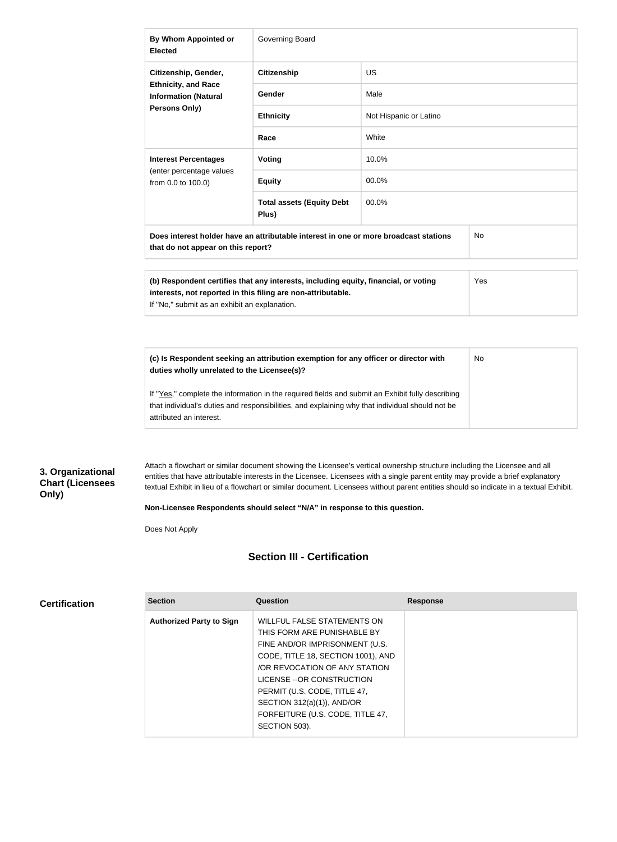| <b>By Whom Appointed or</b><br><b>Elected</b>                                                                                           | Governing Board                           |                        |  |
|-----------------------------------------------------------------------------------------------------------------------------------------|-------------------------------------------|------------------------|--|
| Citizenship, Gender,                                                                                                                    | <b>Citizenship</b>                        | US                     |  |
| <b>Ethnicity, and Race</b><br><b>Information (Natural</b><br>Persons Only)                                                              | Gender                                    | Male                   |  |
|                                                                                                                                         | <b>Ethnicity</b>                          | Not Hispanic or Latino |  |
|                                                                                                                                         | Race                                      | White                  |  |
| <b>Interest Percentages</b><br>(enter percentage values<br>from 0.0 to 100.0)                                                           | <b>Voting</b>                             | 10.0%                  |  |
|                                                                                                                                         | <b>Equity</b>                             | 00.0%                  |  |
|                                                                                                                                         | <b>Total assets (Equity Debt</b><br>Plus) | 00.0%                  |  |
| Does interest holder have an attributable interest in one or more broadcast stations<br><b>No</b><br>that do not appear on this report? |                                           |                        |  |
|                                                                                                                                         |                                           |                        |  |

| (b) Respondent certifies that any interests, including equity, financial, or voting | Yes |
|-------------------------------------------------------------------------------------|-----|
| interests, not reported in this filing are non-attributable.                        |     |
| If "No," submit as an exhibit an explanation.                                       |     |

| (c) Is Respondent seeking an attribution exemption for any officer or director with<br>duties wholly unrelated to the Licensee(s)?                                                                                             | No. |
|--------------------------------------------------------------------------------------------------------------------------------------------------------------------------------------------------------------------------------|-----|
| If "Yes," complete the information in the required fields and submit an Exhibit fully describing<br>that individual's duties and responsibilities, and explaining why that individual should not be<br>attributed an interest. |     |

#### **3. Organizational Chart (Licensees Only)**

**Certification**

Attach a flowchart or similar document showing the Licensee's vertical ownership structure including the Licensee and all entities that have attributable interests in the Licensee. Licensees with a single parent entity may provide a brief explanatory textual Exhibit in lieu of a flowchart or similar document. Licensees without parent entities should so indicate in a textual Exhibit.

**Non-Licensee Respondents should select "N/A" in response to this question.**

Does Not Apply

# **Section III - Certification**

| <b>Section</b>                  | Question                           | <b>Response</b> |
|---------------------------------|------------------------------------|-----------------|
| <b>Authorized Party to Sign</b> | WILLFUL FALSE STATEMENTS ON        |                 |
|                                 | THIS FORM ARE PUNISHABLE BY        |                 |
|                                 | FINE AND/OR IMPRISONMENT (U.S.     |                 |
|                                 | CODE, TITLE 18, SECTION 1001), AND |                 |
|                                 | OR REVOCATION OF ANY STATION       |                 |
|                                 | LICENSE -- OR CONSTRUCTION         |                 |
|                                 | PERMIT (U.S. CODE, TITLE 47,       |                 |
|                                 | SECTION $312(a)(1)$ ), AND/OR      |                 |
|                                 | FORFEITURE (U.S. CODE, TITLE 47,   |                 |
|                                 | SECTION 503).                      |                 |